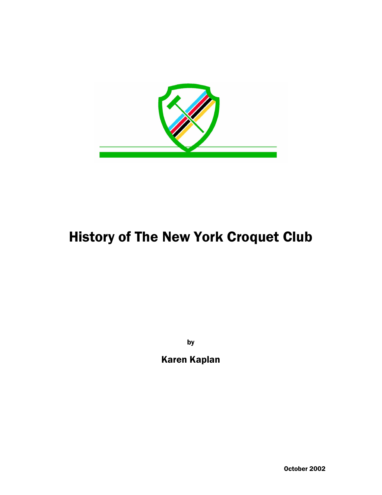

### History of The New York Croquet Club

by

Karen Kaplan

October 2002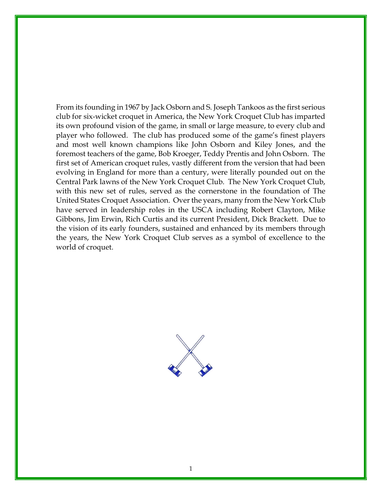From its founding in 1967 by Jack Osborn and S. Joseph Tankoos as the first serious club for six-wicket croquet in America, the New York Croquet Club has imparted its own profound vision of the game, in small or large measure, to every club and player who followed. The club has produced some of the game's finest players and most well known champions like John Osborn and Kiley Jones, and the foremost teachers of the game, Bob Kroeger, Teddy Prentis and John Osborn. The first set of American croquet rules, vastly different from the version that had been evolving in England for more than a century, were literally pounded out on the Central Park lawns of the New York Croquet Club. The New York Croquet Club, with this new set of rules, served as the cornerstone in the foundation of The United States Croquet Association. Over the years, many from the New York Club have served in leadership roles in the USCA including Robert Clayton, Mike Gibbons, Jim Erwin, Rich Curtis and its current President, Dick Brackett. Due to the vision of its early founders, sustained and enhanced by its members through the years, the New York Croquet Club serves as a symbol of excellence to the world of croquet.

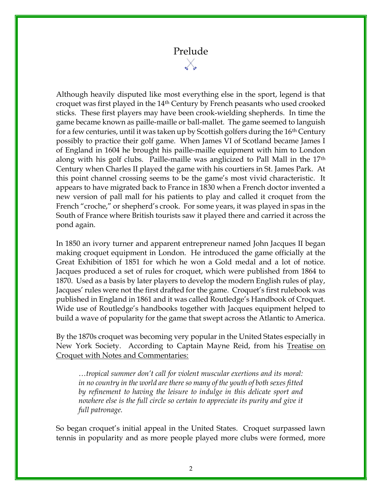# Prelude

Although heavily disputed like most everything else in the sport, legend is that croquet was first played in the 14th Century by French peasants who used crooked sticks. These first players may have been crook-wielding shepherds. In time the game became known as paille-maille or ball-mallet. The game seemed to languish for a few centuries, until it was taken up by Scottish golfers during the  $16<sup>th</sup>$  Century possibly to practice their golf game. When James VI of Scotland became James I of England in 1604 he brought his paille-maille equipment with him to London along with his golf clubs. Paille-maille was anglicized to Pall Mall in the 17th Century when Charles II played the game with his courtiers in St. James Park. At this point channel crossing seems to be the game's most vivid characteristic. It appears to have migrated back to France in 1830 when a French doctor invented a new version of pall mall for his patients to play and called it croquet from the French "croche," or shepherd's crook. For some years, it was played in spas in the South of France where British tourists saw it played there and carried it across the pond again.

In 1850 an ivory turner and apparent entrepreneur named John Jacques II began making croquet equipment in London. He introduced the game officially at the Great Exhibition of 1851 for which he won a Gold medal and a lot of notice. Jacques produced a set of rules for croquet, which were published from 1864 to 1870. Used as a basis by later players to develop the modern English rules of play, Jacques' rules were not the first drafted for the game. Croquet's first rulebook was published in England in 1861 and it was called Routledge's Handbook of Croquet. Wide use of Routledge's handbooks together with Jacques equipment helped to build a wave of popularity for the game that swept across the Atlantic to America.

By the 1870s croquet was becoming very popular in the United States especially in New York Society. According to Captain Mayne Reid, from his Treatise on Croquet with Notes and Commentaries:

…tropical summer don't call for violent muscular exertions and its moral: in no country in the world are there so many of the youth of both sexes fitted by refinement to having the leisure to indulge in this delicate sport and nowhere else is the full circle so certain to appreciate its purity and give it full patronage.

So began croquet's initial appeal in the United States. Croquet surpassed lawn tennis in popularity and as more people played more clubs were formed, more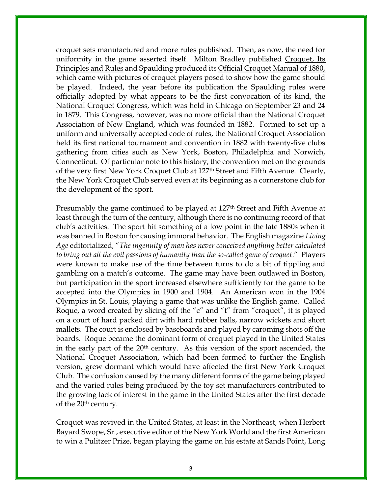croquet sets manufactured and more rules published. Then, as now, the need for uniformity in the game asserted itself. Milton Bradley published Croquet, Its Principles and Rules and Spaulding produced its Official Croquet Manual of 1880, which came with pictures of croquet players posed to show how the game should be played. Indeed, the year before its publication the Spaulding rules were officially adopted by what appears to be the first convocation of its kind, the National Croquet Congress, which was held in Chicago on September 23 and 24 in 1879. This Congress, however, was no more official than the National Croquet Association of New England, which was founded in 1882. Formed to set up a uniform and universally accepted code of rules, the National Croquet Association held its first national tournament and convention in 1882 with twenty-five clubs gathering from cities such as New York, Boston, Philadelphia and Norwich, Connecticut. Of particular note to this history, the convention met on the grounds of the very first New York Croquet Club at 127<sup>th</sup> Street and Fifth Avenue. Clearly, the New York Croquet Club served even at its beginning as a cornerstone club for the development of the sport.

Presumably the game continued to be played at 127<sup>th</sup> Street and Fifth Avenue at least through the turn of the century, although there is no continuing record of that club's activities. The sport hit something of a low point in the late 1880s when it was banned in Boston for causing immoral behavior. The English magazine Living Age editorialized, "The ingenuity of man has never conceived anything better calculated to bring out all the evil passions of humanity than the so-called game of croquet." Players were known to make use of the time between turns to do a bit of tippling and gambling on a match's outcome. The game may have been outlawed in Boston, but participation in the sport increased elsewhere sufficiently for the game to be accepted into the Olympics in 1900 and 1904. An American won in the 1904 Olympics in St. Louis, playing a game that was unlike the English game. Called Roque, a word created by slicing off the "c" and "t" from "croquet", it is played on a court of hard packed dirt with hard rubber balls, narrow wickets and short mallets. The court is enclosed by baseboards and played by caroming shots off the boards. Roque became the dominant form of croquet played in the United States in the early part of the 20<sup>th</sup> century. As this version of the sport ascended, the National Croquet Association, which had been formed to further the English version, grew dormant which would have affected the first New York Croquet Club. The confusion caused by the many different forms of the game being played and the varied rules being produced by the toy set manufacturers contributed to the growing lack of interest in the game in the United States after the first decade of the 20<sup>th</sup> century.

Croquet was revived in the United States, at least in the Northeast, when Herbert Bayard Swope, Sr., executive editor of the New York World and the first American to win a Pulitzer Prize, began playing the game on his estate at Sands Point, Long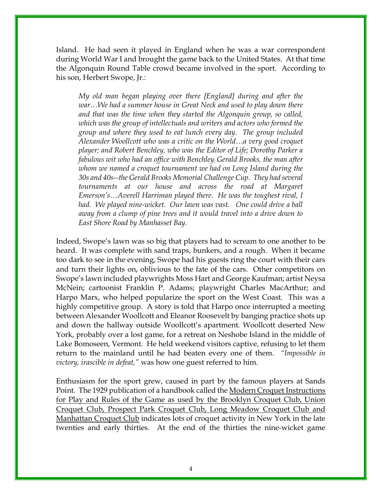Island. He had seen it played in England when he was a war correspondent during World War I and brought the game back to the United States. At that time the Algonquin Round Table crowd became involved in the sport. According to his son, Herbert Swope, Jr.:

My old man began playing over there [England] during and after the war…We had a summer house in Great Neck and used to play down there and that was the time when they started the Algonquin group, so called, which was the group of intellectuals and writers and actors who formed the group and where they used to eat lunch every day. The group included Alexander Woollcott who was a critic on the World…a very good croquet player; and Robert Benchley, who was the Editor of Life; Dorothy Parker a fabulous wit who had an office with Benchley; Gerald Brooks, the man after whom we named a croquet tournament we had on Long Island during the 30s and 40s--the Gerald Brooks Memorial Challenge Cup. They had several tournaments at our house and across the road at Margaret Emerson's…Averell Harriman played there. He was the toughest rival, I had. We played nine-wicket. Our lawn was vast. One could drive a ball away from a clump of pine trees and it would travel into a drive down to East Shore Road by Manhasset Bay.

Indeed, Swope's lawn was so big that players had to scream to one another to be heard. It was complete with sand traps, bunkers, and a rough. When it became too dark to see in the evening, Swope had his guests ring the court with their cars and turn their lights on, oblivious to the fate of the cars. Other competitors on Swope's lawn included playwrights Moss Hart and George Kaufman; artist Neysa McNein; cartoonist Franklin P. Adams; playwright Charles MacArthur; and Harpo Marx, who helped popularize the sport on the West Coast. This was a highly competitive group. A story is told that Harpo once interrupted a meeting between Alexander Woollcott and Eleanor Roosevelt by banging practice shots up and down the hallway outside Woollcott's apartment. Woollcott deserted New York, probably over a lost game, for a retreat on Neshobe Island in the middle of Lake Bomoseen, Vermont. He held weekend visitors captive, refusing to let them return to the mainland until he had beaten every one of them. *"Impossible in* victory, irascible in defeat," was how one guest referred to him.

Enthusiasm for the sport grew, caused in part by the famous players at Sands Point. The 1929 publication of a handbook called the Modern Croquet Instructions for Play and Rules of the Game as used by the Brooklyn Croquet Club, Union Croquet Club, Prospect Park Croquet Club, Long Meadow Croquet Club and Manhattan Croquet Club indicates lots of croquet activity in New York in the late twenties and early thirties. At the end of the thirties the nine-wicket game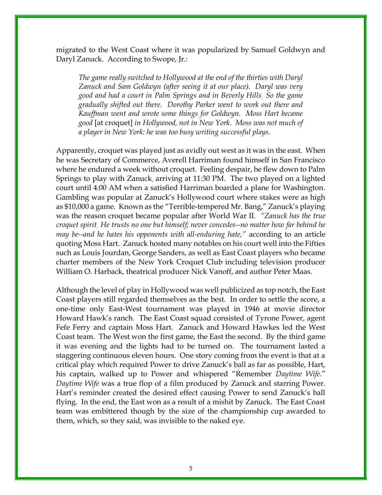migrated to the West Coast where it was popularized by Samuel Goldwyn and Daryl Zanuck. According to Swope, Jr.:

The game really switched to Hollywood at the end of the thirties with Daryl Zanuck and Sam Goldwyn (after seeing it at our place). Daryl was very good and had a court in Palm Springs and in Beverly Hills. So the game gradually shifted out there. Dorothy Parker went to work out there and Kauffman went and wrote some things for Goldwyn. Moss Hart became good [at croquet] in Hollywood, not in New York. Moss was not much of a player in New York: he was too busy writing successful plays.

Apparently, croquet was played just as avidly out west as it was in the east. When he was Secretary of Commerce, Averell Harriman found himself in San Francisco where he endured a week without croquet. Feeling despair, he flew down to Palm Springs to play with Zanuck, arriving at 11:30 PM. The two played on a lighted court until 4:00 AM when a satisfied Harriman boarded a plane for Washington. Gambling was popular at Zanuck's Hollywood court where stakes were as high as \$10,000 a game. Known as the "Terrible-tempered Mr. Bang," Zanuck's playing was the reason croquet became popular after World War II. "Zanuck has the true croquet spirit. He trusts no one but himself; never concedes--no matter how far behind he may be--and he hates his opponents with all-enduring hate," according to an article quoting Moss Hart. Zanuck hosted many notables on his court well into the Fifties such as Louis Jourdan, George Sanders, as well as East Coast players who became charter members of the New York Croquet Club including television producer William O. Harback, theatrical producer Nick Vanoff, and author Peter Maas.

Although the level of play in Hollywood was well publicized as top notch, the East Coast players still regarded themselves as the best. In order to settle the score, a one-time only East-West tournament was played in 1946 at movie director Howard Hawk's ranch. The East Coast squad consisted of Tyrone Power, agent Fefe Ferry and captain Moss Hart. Zanuck and Howard Hawkes led the West Coast team. The West won the first game, the East the second. By the third game it was evening and the lights had to be turned on. The tournament lasted a staggering continuous eleven hours. One story coming from the event is that at a critical play which required Power to drive Zanuck's ball as far as possible, Hart, his captain, walked up to Power and whispered "Remember Daytime Wife." Daytime Wife was a true flop of a film produced by Zanuck and starring Power. Hart's reminder created the desired effect causing Power to send Zanuck's ball flying. In the end, the East won as a result of a mishit by Zanuck. The East Coast team was embittered though by the size of the championship cup awarded to them, which, so they said, was invisible to the naked eye.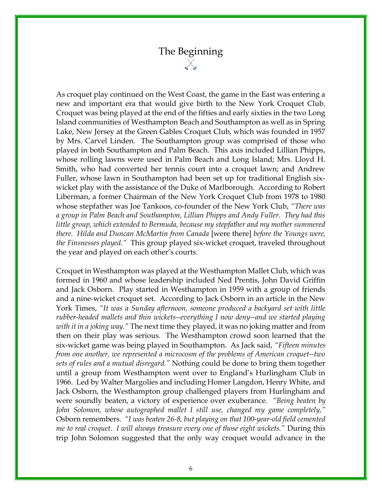# The Beginning

As croquet play continued on the West Coast, the game in the East was entering a new and important era that would give birth to the New York Croquet Club. Croquet was being played at the end of the fifties and early sixties in the two Long Island communities of Westhampton Beach and Southampton as well as in Spring Lake, New Jersey at the Green Gables Croquet Club, which was founded in 1957 by Mrs. Carvel Linden. The Southampton group was comprised of those who played in both Southampton and Palm Beach. This axis included Lillian Phipps, whose rolling lawns were used in Palm Beach and Long Island; Mrs. Lloyd H. Smith, who had converted her tennis court into a croquet lawn; and Andrew Fuller, whose lawn in Southampton had been set up for traditional English sixwicket play with the assistance of the Duke of Marlborough. According to Robert Liberman, a former Chairman of the New York Croquet Club from 1978 to 1980 whose stepfather was Joe Tankoos, co-founder of the New York Club, "There was a group in Palm Beach and Southampton, Lillian Phipps and Andy Fuller. They had this little group, which extended to Bermuda, because my stepfather and my mother summered there. Hilda and Duncan McMartin from Canada [were there] before the Youngs were, the Finsnesses played." This group played six-wicket croquet, traveled throughout the year and played on each other's courts.

Croquet in Westhampton was played at the Westhampton Mallet Club, which was formed in 1960 and whose leadership included Ned Prentis, John David Griffin and Jack Osborn. Play started in Westhampton in 1959 with a group of friends and a nine-wicket croquet set. According to Jack Osborn in an article in the New York Times, "It was a Sunday afternoon, someone produced a backyard set with little rubber-headed mallets and thin wickets--everything I now deny--and we started playing with it in a joking way." The next time they played, it was no joking matter and from then on their play was serious. The Westhampton crowd soon learned that the six-wicket game was being played in Southampton. As Jack said, "Fifteen minutes from one another, we represented a microcosm of the problems of American croquet--two sets of rules and a mutual disregard." Nothing could be done to bring them together until a group from Westhampton went over to England's Hurlingham Club in 1966. Led by Walter Margolies and including Homer Langdon, Henry White, and Jack Osborn, the Westhampton group challenged players from Hurlingham and were soundly beaten, a victory of experience over exuberance. "Being beaten by John Solomon, whose autographed mallet I still use, changed my game completely," Osborn remembers. "I was beaten 26-8, but playing on that 100-year-old field cemented me to real croquet. I will always treasure every one of those eight wickets." During this trip John Solomon suggested that the only way croquet would advance in the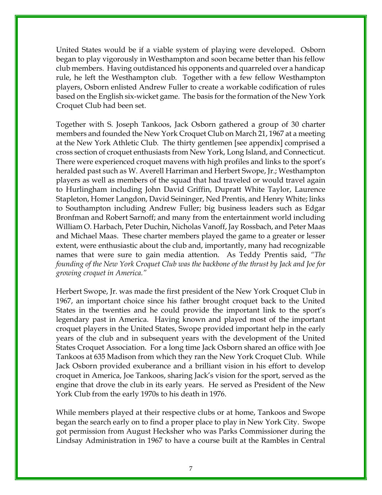United States would be if a viable system of playing were developed. Osborn began to play vigorously in Westhampton and soon became better than his fellow club members. Having outdistanced his opponents and quarreled over a handicap rule, he left the Westhampton club. Together with a few fellow Westhampton players, Osborn enlisted Andrew Fuller to create a workable codification of rules based on the English six-wicket game. The basis for the formation of the New York Croquet Club had been set.

Together with S. Joseph Tankoos, Jack Osborn gathered a group of 30 charter members and founded the New York Croquet Club on March 21, 1967 at a meeting at the New York Athletic Club. The thirty gentlemen [see appendix] comprised a cross section of croquet enthusiasts from New York, Long Island, and Connecticut. There were experienced croquet mavens with high profiles and links to the sport's heralded past such as W. Averell Harriman and Herbert Swope, Jr.; Westhampton players as well as members of the squad that had traveled or would travel again to Hurlingham including John David Griffin, Dupratt White Taylor, Laurence Stapleton, Homer Langdon, David Seininger, Ned Prentis, and Henry White; links to Southampton including Andrew Fuller; big business leaders such as Edgar Bronfman and Robert Sarnoff; and many from the entertainment world including William O. Harbach, Peter Duchin, Nicholas Vanoff, Jay Rossbach, and Peter Maas and Michael Maas. These charter members played the game to a greater or lesser extent, were enthusiastic about the club and, importantly, many had recognizable names that were sure to gain media attention. As Teddy Prentis said, "The founding of the New York Croquet Club was the backbone of the thrust by Jack and Joe for growing croquet in America."

Herbert Swope, Jr. was made the first president of the New York Croquet Club in 1967, an important choice since his father brought croquet back to the United States in the twenties and he could provide the important link to the sport's legendary past in America. Having known and played most of the important croquet players in the United States, Swope provided important help in the early years of the club and in subsequent years with the development of the United States Croquet Association. For a long time Jack Osborn shared an office with Joe Tankoos at 635 Madison from which they ran the New York Croquet Club. While Jack Osborn provided exuberance and a brilliant vision in his effort to develop croquet in America, Joe Tankoos, sharing Jack's vision for the sport, served as the engine that drove the club in its early years. He served as President of the New York Club from the early 1970s to his death in 1976.

While members played at their respective clubs or at home, Tankoos and Swope began the search early on to find a proper place to play in New York City. Swope got permission from August Hecksher who was Parks Commissioner during the Lindsay Administration in 1967 to have a course built at the Rambles in Central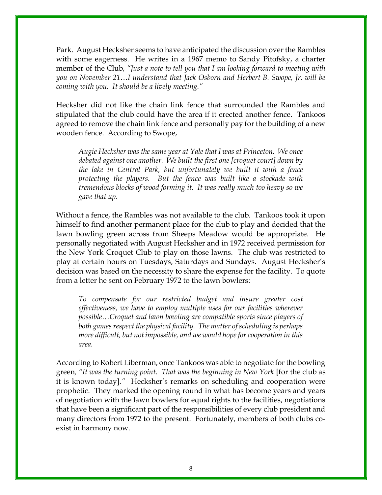Park. August Hecksher seems to have anticipated the discussion over the Rambles with some eagerness. He writes in a 1967 memo to Sandy Pitofsky, a charter member of the Club, "Just a note to tell you that I am looking forward to meeting with you on November 21…I understand that Jack Osborn and Herbert B. Swope, Jr. will be coming with you. It should be a lively meeting."

Hecksher did not like the chain link fence that surrounded the Rambles and stipulated that the club could have the area if it erected another fence. Tankoos agreed to remove the chain link fence and personally pay for the building of a new wooden fence. According to Swope,

Augie Hecksher was the same year at Yale that I was at Princeton. We once debated against one another. We built the first one [croquet court] down by the lake in Central Park, but unfortunately we built it with a fence protecting the players. But the fence was built like a stockade with tremendous blocks of wood forming it. It was really much too heavy so we gave that up.

Without a fence, the Rambles was not available to the club. Tankoos took it upon himself to find another permanent place for the club to play and decided that the lawn bowling green across from Sheeps Meadow would be appropriate. He personally negotiated with August Hecksher and in 1972 received permission for the New York Croquet Club to play on those lawns. The club was restricted to play at certain hours on Tuesdays, Saturdays and Sundays. August Hecksher's decision was based on the necessity to share the expense for the facility. To quote from a letter he sent on February 1972 to the lawn bowlers:

To compensate for our restricted budget and insure greater cost effectiveness, we have to employ multiple uses for our facilities wherever possible…Croquet and lawn bowling are compatible sports since players of both games respect the physical facility. The matter of scheduling is perhaps more difficult, but not impossible, and we would hope for cooperation in this area.

According to Robert Liberman, once Tankoos was able to negotiate for the bowling green, "It was the turning point. That was the beginning in New York [for the club as it is known today]." Hecksher's remarks on scheduling and cooperation were prophetic. They marked the opening round in what has become years and years of negotiation with the lawn bowlers for equal rights to the facilities, negotiations that have been a significant part of the responsibilities of every club president and many directors from 1972 to the present. Fortunately, members of both clubs coexist in harmony now.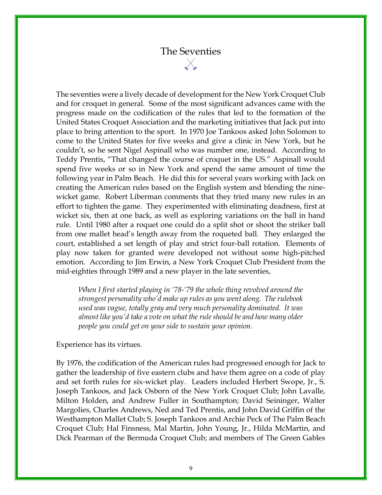## The Seventies

The seventies were a lively decade of development for the New York Croquet Club and for croquet in general. Some of the most significant advances came with the progress made on the codification of the rules that led to the formation of the United States Croquet Association and the marketing initiatives that Jack put into place to bring attention to the sport. In 1970 Joe Tankoos asked John Solomon to come to the United States for five weeks and give a clinic in New York, but he couldn't, so he sent Nigel Aspinall who was number one, instead. According to Teddy Prentis, "That changed the course of croquet in the US." Aspinall would spend five weeks or so in New York and spend the same amount of time the following year in Palm Beach. He did this for several years working with Jack on creating the American rules based on the English system and blending the ninewicket game. Robert Liberman comments that they tried many new rules in an effort to tighten the game. They experimented with eliminating deadness, first at wicket six, then at one back, as well as exploring variations on the ball in hand rule. Until 1980 after a roquet one could do a split shot or shoot the striker ball from one mallet head's length away from the roqueted ball. They enlarged the court, established a set length of play and strict four-ball rotation. Elements of play now taken for granted were developed not without some high-pitched emotion. According to Jim Erwin, a New York Croquet Club President from the mid-eighties through 1989 and a new player in the late seventies,

When I first started playing in '78-'79 the whole thing revolved around the strongest personality who'd make up rules as you went along. The rulebook used was vague, totally gray and very much personality dominated. It was almost like you'd take a vote on what the rule should be and how many older people you could get on your side to sustain your opinion.

#### Experience has its virtues.

By 1976, the codification of the American rules had progressed enough for Jack to gather the leadership of five eastern clubs and have them agree on a code of play and set forth rules for six-wicket play. Leaders included Herbert Swope, Jr., S. Joseph Tankoos, and Jack Osborn of the New York Croquet Club; John Lavalle, Milton Holden, and Andrew Fuller in Southampton; David Seininger, Walter Margolies, Charles Andrews, Ned and Ted Prentis, and John David Griffin of the Westhampton Mallet Club; S. Joseph Tankoos and Archie Peck of The Palm Beach Croquet Club; Hal Finsness, Mal Martin, John Young, Jr., Hilda McMartin, and Dick Pearman of the Bermuda Croquet Club; and members of The Green Gables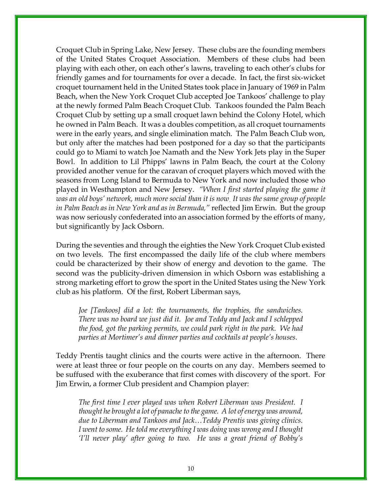Croquet Club in Spring Lake, New Jersey. These clubs are the founding members of the United States Croquet Association. Members of these clubs had been playing with each other, on each other's lawns, traveling to each other's clubs for friendly games and for tournaments for over a decade. In fact, the first six-wicket croquet tournament held in the United States took place in January of 1969 in Palm Beach, when the New York Croquet Club accepted Joe Tankoos' challenge to play at the newly formed Palm Beach Croquet Club. Tankoos founded the Palm Beach Croquet Club by setting up a small croquet lawn behind the Colony Hotel, which he owned in Palm Beach. It was a doubles competition, as all croquet tournaments were in the early years, and single elimination match. The Palm Beach Club won, but only after the matches had been postponed for a day so that the participants could go to Miami to watch Joe Namath and the New York Jets play in the Super Bowl. In addition to Lil Phipps' lawns in Palm Beach, the court at the Colony provided another venue for the caravan of croquet players which moved with the seasons from Long Island to Bermuda to New York and now included those who played in Westhampton and New Jersey. "When I first started playing the game it was an old boys' network, much more social than it is now. It was the same group of people in Palm Beach as in New York and as in Bermuda," reflected Jim Erwin. But the group was now seriously confederated into an association formed by the efforts of many, but significantly by Jack Osborn.

During the seventies and through the eighties the New York Croquet Club existed on two levels. The first encompassed the daily life of the club where members could be characterized by their show of energy and devotion to the game. The second was the publicity-driven dimension in which Osborn was establishing a strong marketing effort to grow the sport in the United States using the New York club as his platform. Of the first, Robert Liberman says,

Joe [Tankoos] did a lot: the tournaments, the trophies, the sandwiches. There was no board we just did it. Joe and Teddy and Jack and I schlepped the food, got the parking permits, we could park right in the park. We had parties at Mortimer's and dinner parties and cocktails at people's houses.

Teddy Prentis taught clinics and the courts were active in the afternoon. There were at least three or four people on the courts on any day. Members seemed to be suffused with the exuberance that first comes with discovery of the sport. For Jim Erwin, a former Club president and Champion player:

The first time I ever played was when Robert Liberman was President. I thought he brought a lot of panache to the game. A lot of energy was around, due to Liberman and Tankoos and Jack…Teddy Prentis was giving clinics. I went to some. He told me everything I was doing was wrong and I thought 'I'll never play' after going to two. He was a great friend of Bobby's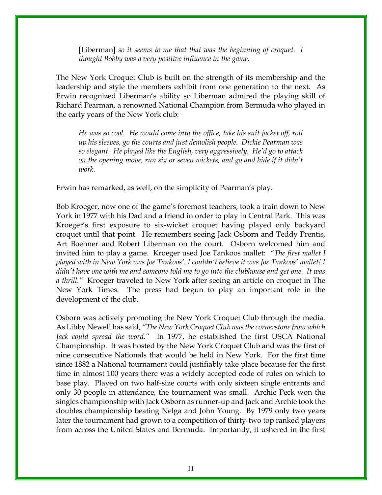[Liberman] so it seems to me that that was the beginning of croquet. I thought Bobby was a very positive influence in the game.

The New York Croquet Club is built on the strength of its membership and the leadership and style the members exhibit from one generation to the next. As Erwin recognized Liberman's ability so Liberman admired the playing skill of Richard Pearman, a renowned National Champion from Bermuda who played in the early years of the New York club:

He was so cool. He would come into the office, take his suit jacket off, roll up his sleeves, go the courts and just demolish people. Dickie Pearman was so elegant. He played like the English, very aggressively. He'd go to attack on the opening move, run six or seven wickets, and go and hide if it didn't work.

Erwin has remarked, as well, on the simplicity of Pearman's play.

Bob Kroeger, now one of the game's foremost teachers, took a train down to New York in 1977 with his Dad and a friend in order to play in Central Park. This was Kroeger's first exposure to six-wicket croquet having played only backyard croquet until that point. He remembers seeing Jack Osborn and Teddy Prentis, Art Boehner and Robert Liberman on the court. Osborn welcomed him and invited him to play a game. Kroeger used Joe Tankoos mallet: "The first mallet I played with in New York was Joe Tankoos'. I couldn't believe it was Joe Tankoos' mallet! I didn't have one with me and someone told me to go into the clubhouse and get one. It was a thrill." Kroeger traveled to New York after seeing an article on croquet in The New York Times. The press had begun to play an important role in the development of the club.

Osborn was actively promoting the New York Croquet Club through the media. As Libby Newell has said, "The New York Croquet Club was the cornerstone from which Jack could spread the word." In 1977, he established the first USCA National Championship. It was hosted by the New York Croquet Club and was the first of nine consecutive Nationals that would be held in New York. For the first time since 1882 a National tournament could justifiably take place because for the first time in almost 100 years there was a widely accepted code of rules on which to base play. Played on two half-size courts with only sixteen single entrants and only 30 people in attendance, the tournament was small. Archie Peck won the singles championship with Jack Osborn as runner-up and Jack and Archie took the doubles championship beating Nelga and John Young. By 1979 only two years later the tournament had grown to a competition of thirty-two top ranked players from across the United States and Bermuda. Importantly, it ushered in the first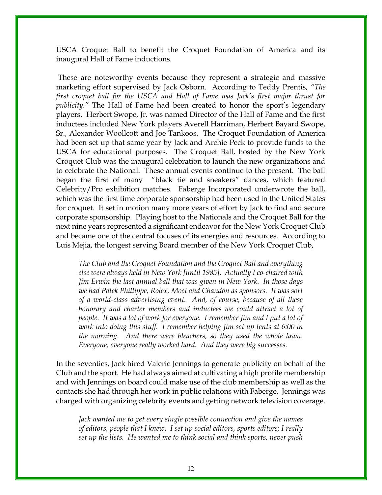USCA Croquet Ball to benefit the Croquet Foundation of America and its inaugural Hall of Fame inductions.

 These are noteworthy events because they represent a strategic and massive marketing effort supervised by Jack Osborn. According to Teddy Prentis, "The first croquet ball for the USCA and Hall of Fame was Jack's first major thrust for publicity." The Hall of Fame had been created to honor the sport's legendary players. Herbert Swope, Jr. was named Director of the Hall of Fame and the first inductees included New York players Averell Harriman, Herbert Bayard Swope, Sr., Alexander Woollcott and Joe Tankoos. The Croquet Foundation of America had been set up that same year by Jack and Archie Peck to provide funds to the USCA for educational purposes. The Croquet Ball, hosted by the New York Croquet Club was the inaugural celebration to launch the new organizations and to celebrate the National. These annual events continue to the present. The ball began the first of many "black tie and sneakers" dances, which featured Celebrity/Pro exhibition matches. Faberge Incorporated underwrote the ball, which was the first time corporate sponsorship had been used in the United States for croquet. It set in motion many more years of effort by Jack to find and secure corporate sponsorship. Playing host to the Nationals and the Croquet Ball for the next nine years represented a significant endeavor for the New York Croquet Club and became one of the central focuses of its energies and resources. According to Luis Mejia, the longest serving Board member of the New York Croquet Club,

The Club and the Croquet Foundation and the Croquet Ball and everything else were always held in New York [until 1985]. Actually I co-chaired with Jim Erwin the last annual ball that was given in New York. In those days we had Patek Phillippe, Rolex, Moet and Chandon as sponsors. It was sort of a world-class advertising event. And, of course, because of all these honorary and charter members and inductees we could attract a lot of people. It was a lot of work for everyone. I remember Jim and I put a lot of work into doing this stuff. I remember helping Jim set up tents at 6:00 in the morning. And there were bleachers, so they used the whole lawn. Everyone, everyone really worked hard. And they were big successes.

In the seventies, Jack hired Valerie Jennings to generate publicity on behalf of the Club and the sport. He had always aimed at cultivating a high profile membership and with Jennings on board could make use of the club membership as well as the contacts she had through her work in public relations with Faberge. Jennings was charged with organizing celebrity events and getting network television coverage.

Jack wanted me to get every single possible connection and give the names of editors, people that I knew. I set up social editors, sports editors; I really set up the lists. He wanted me to think social and think sports, never push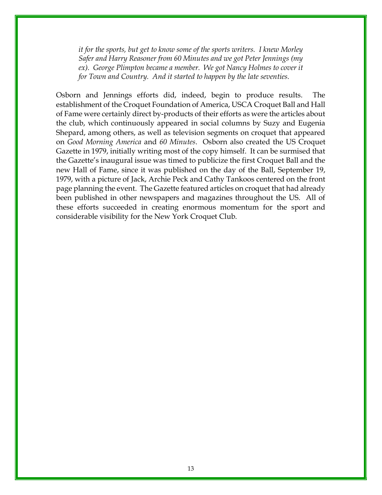it for the sports, but get to know some of the sports writers. I knew Morley Safer and Harry Reasoner from 60 Minutes and we got Peter Jennings (my ex). George Plimpton became a member. We got Nancy Holmes to cover it for Town and Country. And it started to happen by the late seventies.

Osborn and Jennings efforts did, indeed, begin to produce results. The establishment of the Croquet Foundation of America, USCA Croquet Ball and Hall of Fame were certainly direct by-products of their efforts as were the articles about the club, which continuously appeared in social columns by Suzy and Eugenia Shepard, among others, as well as television segments on croquet that appeared on Good Morning America and 60 Minutes. Osborn also created the US Croquet Gazette in 1979, initially writing most of the copy himself. It can be surmised that the Gazette's inaugural issue was timed to publicize the first Croquet Ball and the new Hall of Fame, since it was published on the day of the Ball, September 19, 1979, with a picture of Jack, Archie Peck and Cathy Tankoos centered on the front page planning the event. The Gazette featured articles on croquet that had already been published in other newspapers and magazines throughout the US. All of these efforts succeeded in creating enormous momentum for the sport and considerable visibility for the New York Croquet Club.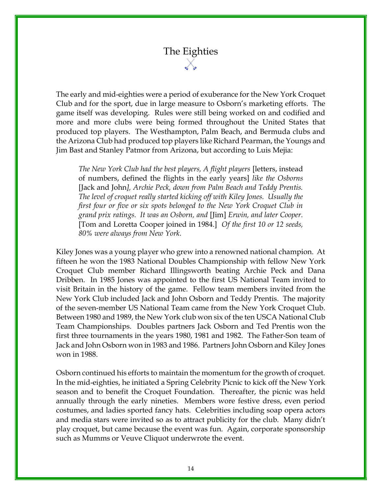# The Eighties

The early and mid-eighties were a period of exuberance for the New York Croquet Club and for the sport, due in large measure to Osborn's marketing efforts. The game itself was developing. Rules were still being worked on and codified and more and more clubs were being formed throughout the United States that produced top players. The Westhampton, Palm Beach, and Bermuda clubs and the Arizona Club had produced top players like Richard Pearman, the Youngs and Jim Bast and Stanley Patmor from Arizona, but according to Luis Mejia:

The New York Club had the best players, A flight players [letters, instead of numbers, defined the flights in the early years] like the Osborns [Jack and John], Archie Peck, down from Palm Beach and Teddy Prentis. The level of croquet really started kicking off with Kiley Jones. Usually the first four or five or six spots belonged to the New York Croquet Club in grand prix ratings. It was an Osborn, and [Jim] Erwin, and later Cooper. [Tom and Loretta Cooper joined in 1984.] Of the first 10 or 12 seeds, 80% were always from New York.

Kiley Jones was a young player who grew into a renowned national champion. At fifteen he won the 1983 National Doubles Championship with fellow New York Croquet Club member Richard Illingsworth beating Archie Peck and Dana Dribben. In 1985 Jones was appointed to the first US National Team invited to visit Britain in the history of the game. Fellow team members invited from the New York Club included Jack and John Osborn and Teddy Prentis. The majority of the seven-member US National Team came from the New York Croquet Club. Between 1980 and 1989, the New York club won six of the ten USCA National Club Team Championships. Doubles partners Jack Osborn and Ted Prentis won the first three tournaments in the years 1980, 1981 and 1982. The Father-Son team of Jack and John Osborn won in 1983 and 1986. Partners John Osborn and Kiley Jones won in 1988.

Osborn continued his efforts to maintain the momentum for the growth of croquet. In the mid-eighties, he initiated a Spring Celebrity Picnic to kick off the New York season and to benefit the Croquet Foundation. Thereafter, the picnic was held annually through the early nineties. Members wore festive dress, even period costumes, and ladies sported fancy hats. Celebrities including soap opera actors and media stars were invited so as to attract publicity for the club. Many didn't play croquet, but came because the event was fun. Again, corporate sponsorship such as Mumms or Veuve Cliquot underwrote the event.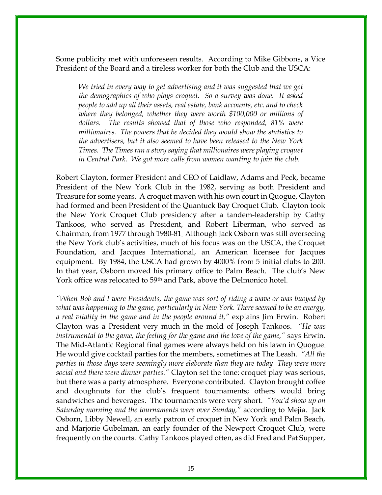Some publicity met with unforeseen results. According to Mike Gibbons, a Vice President of the Board and a tireless worker for both the Club and the USCA:

We tried in every way to get advertising and it was suggested that we get the demographics of who plays croquet. So a survey was done. It asked people to add up all their assets, real estate, bank accounts, etc. and to check where they belonged, whether they were worth \$100,000 or millions of dollars. The results showed that of those who responded, 81% were millionaires. The powers that be decided they would show the statistics to the advertisers, but it also seemed to have been released to the New York Times. The Times ran a story saying that millionaires were playing croquet in Central Park. We got more calls from women wanting to join the club.

Robert Clayton, former President and CEO of Laidlaw, Adams and Peck, became President of the New York Club in the 1982, serving as both President and Treasure for some years. A croquet maven with his own court in Quogue, Clayton had formed and been President of the Quantuck Bay Croquet Club. Clayton took the New York Croquet Club presidency after a tandem-leadership by Cathy Tankoos, who served as President, and Robert Liberman, who served as Chairman, from 1977 through 1980-81. Although Jack Osborn was still overseeing the New York club's activities, much of his focus was on the USCA, the Croquet Foundation, and Jacques International, an American licensee for Jacques equipment. By 1984, the USCA had grown by 4000% from 5 initial clubs to 200. In that year, Osborn moved his primary office to Palm Beach. The club's New York office was relocated to 59<sup>th</sup> and Park, above the Delmonico hotel.

"When Bob and I were Presidents, the game was sort of riding a wave or was buoyed by what was happening to the game, particularly in New York. There seemed to be an energy, a real vitality in the game and in the people around it," explains Jim Erwin. Robert Clayton was a President very much in the mold of Joseph Tankoos. "He was instrumental to the game, the feeling for the game and the love of the game," says Erwin. The Mid-Atlantic Regional final games were always held on his lawn in Quogue. He would give cocktail parties for the members, sometimes at The Leash. "All the parties in those days were seemingly more elaborate than they are today. They were more social and there were dinner parties." Clayton set the tone: croquet play was serious, but there was a party atmosphere. Everyone contributed. Clayton brought coffee and doughnuts for the club's frequent tournaments; others would bring sandwiches and beverages. The tournaments were very short. "You'd show up on Saturday morning and the tournaments were over Sunday," according to Mejia. Jack Osborn, Libby Newell, an early patron of croquet in New York and Palm Beach, and Marjorie Gubelman, an early founder of the Newport Croquet Club, were frequently on the courts. Cathy Tankoos played often, as did Fred and Pat Supper,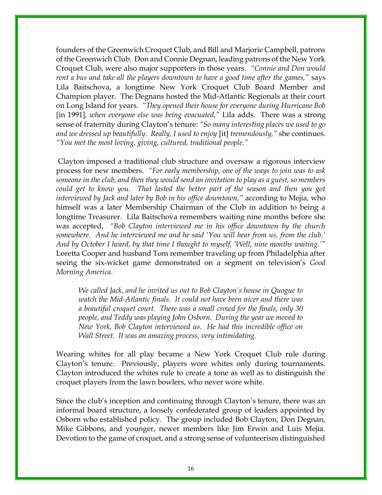founders of the Greenwich Croquet Club, and Bill and Marjorie Campbell, patrons of the Greenwich Club. Don and Connie Degnan, leading patrons of the New York Croquet Club, were also major supporters in those years. "Connie and Don would rent a bus and take all the players downtown to have a good time after the games," says Lila Baitschova, a longtime New York Croquet Club Board Member and Champion player. The Degnans hosted the Mid-Atlantic Regionals at their court on Long Island for years. "They opened their house for everyone during Hurricane Bob [in 1991], when everyone else was being evacuated," Lila adds. There was a strong sense of fraternity during Clayton's tenure: "So many interesting places we used to go and we dressed up beautifully. Really, I used to enjoy [it] tremendously," she continues. "You met the most loving, giving, cultured, traditional people."

 Clayton imposed a traditional club structure and oversaw a rigorous interview process for new members. "For early membership, one of the ways to join was to ask someone in the club, and then they would send an invitation to play as a guest, so members could get to know you. That lasted the better part of the season and then you got interviewed by Jack and later by Bob in his office downtown," according to Mejia, who himself was a later Membership Chairman of the Club in addition to being a longtime Treasurer. Lila Baitschova remembers waiting nine months before she was accepted, "Bob Clayton interviewed me in his office downtown by the church somewhere. And he interviewed me and he said 'You will hear from us, from the club.' And by October I heard, by that time I thought to myself, 'Well, nine months waiting.'" Loretta Cooper and husband Tom remember traveling up from Philadelphia after seeing the six-wicket game demonstrated on a segment on television's Good Morning America.

We called Jack, and he invited us out to Bob Clayton's house in Quogue to watch the Mid-Atlantic finals. It could not have been nicer and there was a beautiful croquet court. There was a small crowd for the finals, only 30 people, and Teddy was playing John Osborn. During the year we moved to New York, Bob Clayton interviewed us. He had this incredible office on Wall Street. It was an amazing process, very intimidating.

Wearing whites for all play became a New York Croquet Club rule during Clayton's tenure. Previously, players wore whites only during tournaments. Clayton introduced the whites rule to create a tone as well as to distinguish the croquet players from the lawn bowlers, who never wore white.

Since the club's inception and continuing through Clayton's tenure, there was an informal board structure, a loosely confederated group of leaders appointed by Osborn who established policy. The group included Bob Clayton, Don Degnan, Mike Gibbons, and younger, newer members like Jim Erwin and Luis Mejia. Devotion to the game of croquet, and a strong sense of volunteerism distinguished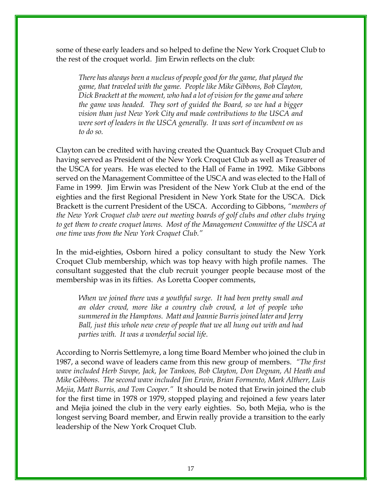some of these early leaders and so helped to define the New York Croquet Club to the rest of the croquet world. Jim Erwin reflects on the club:

There has always been a nucleus of people good for the game, that played the game, that traveled with the game. People like Mike Gibbons, Bob Clayton, Dick Brackett at the moment, who had a lot of vision for the game and where the game was headed. They sort of guided the Board, so we had a bigger vision than just New York City and made contributions to the USCA and were sort of leaders in the USCA generally. It was sort of incumbent on us to do so.

Clayton can be credited with having created the Quantuck Bay Croquet Club and having served as President of the New York Croquet Club as well as Treasurer of the USCA for years. He was elected to the Hall of Fame in 1992. Mike Gibbons served on the Management Committee of the USCA and was elected to the Hall of Fame in 1999. Jim Erwin was President of the New York Club at the end of the eighties and the first Regional President in New York State for the USCA. Dick Brackett is the current President of the USCA. According to Gibbons, "members of the New York Croquet club were out meeting boards of golf clubs and other clubs trying to get them to create croquet lawns. Most of the Management Committee of the USCA at one time was from the New York Croquet Club."

In the mid-eighties, Osborn hired a policy consultant to study the New York Croquet Club membership, which was top heavy with high profile names. The consultant suggested that the club recruit younger people because most of the membership was in its fifties. As Loretta Cooper comments,

When we joined there was a youthful surge. It had been pretty small and an older crowd, more like a country club crowd, a lot of people who summered in the Hamptons. Matt and Jeannie Burris joined later and Jerry Ball, just this whole new crew of people that we all hung out with and had parties with. It was a wonderful social life.

According to Norris Settlemyre, a long time Board Member who joined the club in 1987, a second wave of leaders came from this new group of members. "The first wave included Herb Swope, Jack, Joe Tankoos, Bob Clayton, Don Degnan, Al Heath and Mike Gibbons. The second wave included Jim Erwin, Brian Formento, Mark Altherr, Luis Mejia, Matt Burris, and Tom Cooper." It should be noted that Erwin joined the club for the first time in 1978 or 1979, stopped playing and rejoined a few years later and Mejia joined the club in the very early eighties. So, both Mejia, who is the longest serving Board member, and Erwin really provide a transition to the early leadership of the New York Croquet Club.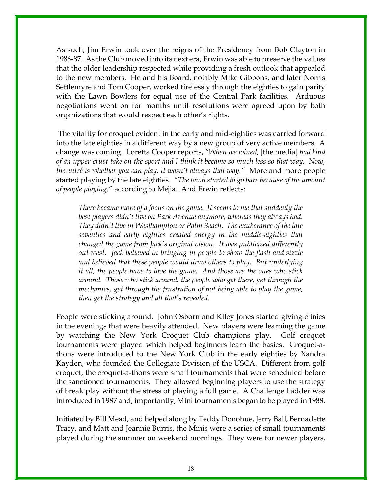As such, Jim Erwin took over the reigns of the Presidency from Bob Clayton in 1986-87. As the Club moved into its next era, Erwin was able to preserve the values that the older leadership respected while providing a fresh outlook that appealed to the new members. He and his Board, notably Mike Gibbons, and later Norris Settlemyre and Tom Cooper, worked tirelessly through the eighties to gain parity with the Lawn Bowlers for equal use of the Central Park facilities. Arduous negotiations went on for months until resolutions were agreed upon by both organizations that would respect each other's rights.

 The vitality for croquet evident in the early and mid-eighties was carried forward into the late eighties in a different way by a new group of very active members. A change was coming. Loretta Cooper reports, "When we joined, [the media] had kind of an upper crust take on the sport and I think it became so much less so that way. Now, the entré is whether you can play, it wasn't always that way." More and more people started playing by the late eighties. "The lawn started to go bare because of the amount of people playing," according to Mejia. And Erwin reflects:

There became more of a focus on the game. It seems to me that suddenly the best players didn't live on Park Avenue anymore, whereas they always had. They didn't live in Westhampton or Palm Beach. The exuberance of the late seventies and early eighties created energy in the middle-eighties that changed the game from Jack's original vision. It was publicized differently out west. Jack believed in bringing in people to show the flash and sizzle and believed that these people would draw others to play. But underlying it all, the people have to love the game. And those are the ones who stick around. Those who stick around, the people who get there, get through the mechanics, get through the frustration of not being able to play the game, then get the strategy and all that's revealed.

People were sticking around. John Osborn and Kiley Jones started giving clinics in the evenings that were heavily attended. New players were learning the game by watching the New York Croquet Club champions play. Golf croquet tournaments were played which helped beginners learn the basics. Croquet-athons were introduced to the New York Club in the early eighties by Xandra Kayden, who founded the Collegiate Division of the USCA. Different from golf croquet, the croquet-a-thons were small tournaments that were scheduled before the sanctioned tournaments. They allowed beginning players to use the strategy of break play without the stress of playing a full game. A Challenge Ladder was introduced in 1987 and, importantly, Mini tournaments began to be played in 1988.

Initiated by Bill Mead, and helped along by Teddy Donohue, Jerry Ball, Bernadette Tracy, and Matt and Jeannie Burris, the Minis were a series of small tournaments played during the summer on weekend mornings. They were for newer players,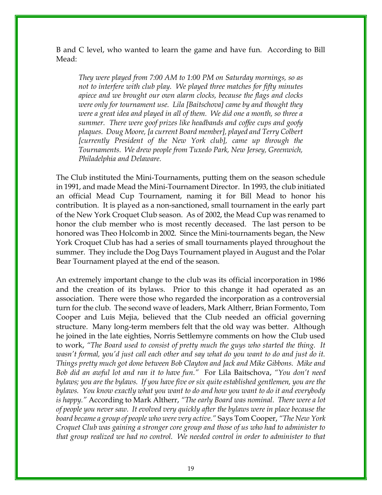B and C level, who wanted to learn the game and have fun. According to Bill Mead:

They were played from 7:00 AM to 1:00 PM on Saturday mornings, so as not to interfere with club play. We played three matches for fifty minutes apiece and we brought our own alarm clocks, because the flags and clocks were only for tournament use. Lila [Baitschova] came by and thought they were a great idea and played in all of them. We did one a month, so three a summer. There were goof prizes like headbands and coffee cups and goofy plaques. Doug Moore, [a current Board member], played and Terry Colbert [currently President of the New York club], came up through the Tournaments. We drew people from Tuxedo Park, New Jersey, Greenwich, Philadelphia and Delaware.

The Club instituted the Mini-Tournaments, putting them on the season schedule in 1991, and made Mead the Mini-Tournament Director. In 1993, the club initiated an official Mead Cup Tournament, naming it for Bill Mead to honor his contribution. It is played as a non-sanctioned, small tournament in the early part of the New York Croquet Club season. As of 2002, the Mead Cup was renamed to honor the club member who is most recently deceased. The last person to be honored was Theo Holcomb in 2002. Since the Mini-tournaments began, the New York Croquet Club has had a series of small tournaments played throughout the summer. They include the Dog Days Tournament played in August and the Polar Bear Tournament played at the end of the season.

An extremely important change to the club was its official incorporation in 1986 and the creation of its bylaws. Prior to this change it had operated as an association. There were those who regarded the incorporation as a controversial turn for the club. The second wave of leaders, Mark Altherr, Brian Formento, Tom Cooper and Luis Mejia, believed that the Club needed an official governing structure. Many long-term members felt that the old way was better. Although he joined in the late eighties, Norris Settlemyre comments on how the Club used to work, "The Board used to consist of pretty much the guys who started the thing. It wasn't formal, you'd just call each other and say what do you want to do and just do it. Things pretty much got done between Bob Clayton and Jack and Mike Gibbons. Mike and Bob did an awful lot and ran it to have fun." For Lila Baitschova, "You don't need bylaws; you are the bylaws. If you have five or six quite established gentlemen, you are the bylaws. You know exactly what you want to do and how you want to do it and everybody is happy." According to Mark Altherr, "The early Board was nominal. There were a lot of people you never saw. It evolved very quickly after the bylaws were in place because the board became a group of people who were very active." Says Tom Cooper, "The New York Croquet Club was gaining a stronger core group and those of us who had to administer to that group realized we had no control. We needed control in order to administer to that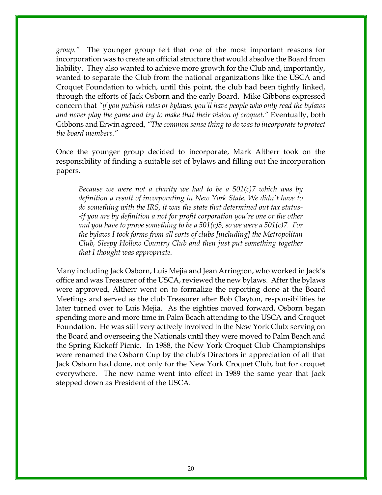group." The younger group felt that one of the most important reasons for incorporation was to create an official structure that would absolve the Board from liability. They also wanted to achieve more growth for the Club and, importantly, wanted to separate the Club from the national organizations like the USCA and Croquet Foundation to which, until this point, the club had been tightly linked, through the efforts of Jack Osborn and the early Board. Mike Gibbons expressed concern that "if you publish rules or bylaws, you'll have people who only read the bylaws and never play the game and try to make that their vision of croquet." Eventually, both Gibbons and Erwin agreed, "The common sense thing to do was to incorporate to protect the board members."

Once the younger group decided to incorporate, Mark Altherr took on the responsibility of finding a suitable set of bylaws and filling out the incorporation papers.

Because we were not a charity we had to be a  $501(c)$ 7 which was by definition a result of incorporating in New York State. We didn't have to do something with the IRS, it was the state that determined out tax status- -if you are by definition a not for profit corporation you're one or the other and you have to prove something to be a  $501(c)3$ , so we were a  $501(c)7$ . For the bylaws I took forms from all sorts of clubs [including] the Metropolitan Club, Sleepy Hollow Country Club and then just put something together that I thought was appropriate.

Many including Jack Osborn, Luis Mejia and Jean Arrington, who worked in Jack's office and was Treasurer of the USCA, reviewed the new bylaws. After the bylaws were approved, Altherr went on to formalize the reporting done at the Board Meetings and served as the club Treasurer after Bob Clayton, responsibilities he later turned over to Luis Mejia. As the eighties moved forward, Osborn began spending more and more time in Palm Beach attending to the USCA and Croquet Foundation. He was still very actively involved in the New York Club: serving on the Board and overseeing the Nationals until they were moved to Palm Beach and the Spring Kickoff Picnic. In 1988, the New York Croquet Club Championships were renamed the Osborn Cup by the club's Directors in appreciation of all that Jack Osborn had done, not only for the New York Croquet Club, but for croquet everywhere. The new name went into effect in 1989 the same year that Jack stepped down as President of the USCA.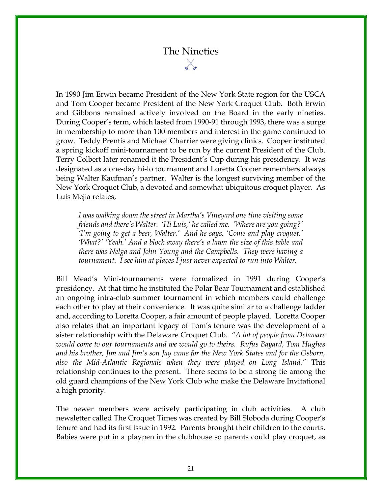# The Nineties

In 1990 Jim Erwin became President of the New York State region for the USCA and Tom Cooper became President of the New York Croquet Club. Both Erwin and Gibbons remained actively involved on the Board in the early nineties. During Cooper's term, which lasted from 1990-91 through 1993, there was a surge in membership to more than 100 members and interest in the game continued to grow. Teddy Prentis and Michael Charrier were giving clinics. Cooper instituted a spring kickoff mini-tournament to be run by the current President of the Club. Terry Colbert later renamed it the President's Cup during his presidency. It was designated as a one-day hi-lo tournament and Loretta Cooper remembers always being Walter Kaufman's partner. Walter is the longest surviving member of the New York Croquet Club, a devoted and somewhat ubiquitous croquet player. As Luis Mejia relates,

I was walking down the street in Martha's Vineyard one time visiting some friends and there's Walter. 'Hi Luis,' he called me. 'Where are you going?' 'I'm going to get a beer, Walter.' And he says, 'Come and play croquet.' 'What?' 'Yeah.' And a block away there's a lawn the size of this table and there was Nelga and John Young and the Campbells. They were having a tournament. I see him at places I just never expected to run into Walter.

Bill Mead's Mini-tournaments were formalized in 1991 during Cooper's presidency. At that time he instituted the Polar Bear Tournament and established an ongoing intra-club summer tournament in which members could challenge each other to play at their convenience. It was quite similar to a challenge ladder and, according to Loretta Cooper, a fair amount of people played. Loretta Cooper also relates that an important legacy of Tom's tenure was the development of a sister relationship with the Delaware Croquet Club. "A lot of people from Delaware would come to our tournaments and we would go to theirs. Rufus Bayard, Tom Hughes and his brother, Jim and Jim's son Jay came for the New York States and for the Osborn, also the Mid-Atlantic Regionals when they were played on Long Island." This relationship continues to the present. There seems to be a strong tie among the old guard champions of the New York Club who make the Delaware Invitational a high priority.

The newer members were actively participating in club activities. A club newsletter called The Croquet Times was created by Bill Sloboda during Cooper's tenure and had its first issue in 1992. Parents brought their children to the courts. Babies were put in a playpen in the clubhouse so parents could play croquet, as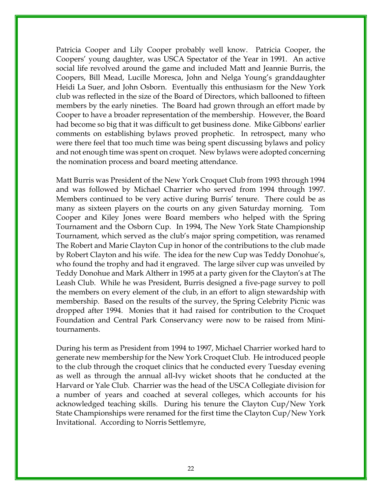Patricia Cooper and Lily Cooper probably well know. Patricia Cooper, the Coopers' young daughter, was USCA Spectator of the Year in 1991. An active social life revolved around the game and included Matt and Jeannie Burris, the Coopers, Bill Mead, Lucille Moresca, John and Nelga Young's granddaughter Heidi La Suer, and John Osborn. Eventually this enthusiasm for the New York club was reflected in the size of the Board of Directors, which ballooned to fifteen members by the early nineties. The Board had grown through an effort made by Cooper to have a broader representation of the membership. However, the Board had become so big that it was difficult to get business done. Mike Gibbons' earlier comments on establishing bylaws proved prophetic. In retrospect, many who were there feel that too much time was being spent discussing bylaws and policy and not enough time was spent on croquet. New bylaws were adopted concerning the nomination process and board meeting attendance.

Matt Burris was President of the New York Croquet Club from 1993 through 1994 and was followed by Michael Charrier who served from 1994 through 1997. Members continued to be very active during Burris' tenure. There could be as many as sixteen players on the courts on any given Saturday morning. Tom Cooper and Kiley Jones were Board members who helped with the Spring Tournament and the Osborn Cup. In 1994, The New York State Championship Tournament, which served as the club's major spring competition, was renamed The Robert and Marie Clayton Cup in honor of the contributions to the club made by Robert Clayton and his wife. The idea for the new Cup was Teddy Donohue's, who found the trophy and had it engraved. The large silver cup was unveiled by Teddy Donohue and Mark Altherr in 1995 at a party given for the Clayton's at The Leash Club. While he was President, Burris designed a five-page survey to poll the members on every element of the club, in an effort to align stewardship with membership. Based on the results of the survey, the Spring Celebrity Picnic was dropped after 1994. Monies that it had raised for contribution to the Croquet Foundation and Central Park Conservancy were now to be raised from Minitournaments.

During his term as President from 1994 to 1997, Michael Charrier worked hard to generate new membership for the New York Croquet Club. He introduced people to the club through the croquet clinics that he conducted every Tuesday evening as well as through the annual all-Ivy wicket shoots that he conducted at the Harvard or Yale Club. Charrier was the head of the USCA Collegiate division for a number of years and coached at several colleges, which accounts for his acknowledged teaching skills. During his tenure the Clayton Cup/New York State Championships were renamed for the first time the Clayton Cup/New York Invitational. According to Norris Settlemyre,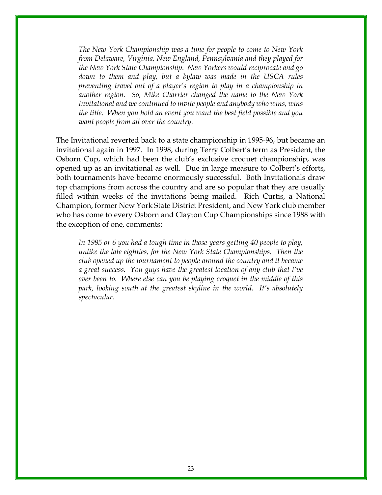The New York Championship was a time for people to come to New York from Delaware, Virginia, New England, Pennsylvania and they played for the New York State Championship. New Yorkers would reciprocate and go down to them and play, but a bylaw was made in the USCA rules preventing travel out of a player's region to play in a championship in another region. So, Mike Charrier changed the name to the New York Invitational and we continued to invite people and anybody who wins, wins the title. When you hold an event you want the best field possible and you want people from all over the country.

The Invitational reverted back to a state championship in 1995-96, but became an invitational again in 1997. In 1998, during Terry Colbert's term as President, the Osborn Cup, which had been the club's exclusive croquet championship, was opened up as an invitational as well. Due in large measure to Colbert's efforts, both tournaments have become enormously successful. Both Invitationals draw top champions from across the country and are so popular that they are usually filled within weeks of the invitations being mailed. Rich Curtis, a National Champion, former New York State District President, and New York club member who has come to every Osborn and Clayton Cup Championships since 1988 with the exception of one, comments:

In 1995 or 6 you had a tough time in those years getting 40 people to play, unlike the late eighties, for the New York State Championships. Then the club opened up the tournament to people around the country and it became a great success. You guys have the greatest location of any club that I've ever been to. Where else can you be playing croquet in the middle of this park, looking south at the greatest skyline in the world. It's absolutely spectacular.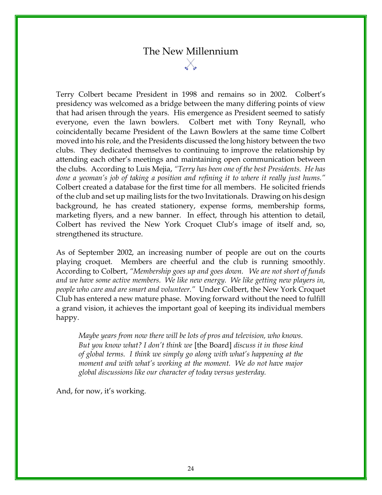### The New Millennium

Terry Colbert became President in 1998 and remains so in 2002. Colbert's presidency was welcomed as a bridge between the many differing points of view that had arisen through the years. His emergence as President seemed to satisfy everyone, even the lawn bowlers. Colbert met with Tony Reynall, who coincidentally became President of the Lawn Bowlers at the same time Colbert moved into his role, and the Presidents discussed the long history between the two clubs. They dedicated themselves to continuing to improve the relationship by attending each other's meetings and maintaining open communication between the clubs. According to Luis Mejia, "Terry has been one of the best Presidents. He has done a yeoman's job of taking a position and refining it to where it really just hums." Colbert created a database for the first time for all members. He solicited friends of the club and set up mailing lists for the two Invitationals. Drawing on his design background, he has created stationery, expense forms, membership forms, marketing flyers, and a new banner. In effect, through his attention to detail, Colbert has revived the New York Croquet Club's image of itself and, so, strengthened its structure.

As of September 2002, an increasing number of people are out on the courts playing croquet. Members are cheerful and the club is running smoothly. According to Colbert, "Membership goes up and goes down. We are not short of funds and we have some active members. We like new energy. We like getting new players in, people who care and are smart and volunteer." Under Colbert, the New York Croquet Club has entered a new mature phase. Moving forward without the need to fulfill a grand vision, it achieves the important goal of keeping its individual members happy.

Maybe years from now there will be lots of pros and television, who knows. But you know what? I don't think we [the Board] discuss it in those kind of global terms. I think we simply go along with what's happening at the moment and with what's working at the moment. We do not have major global discussions like our character of today versus yesterday.

And, for now, it's working.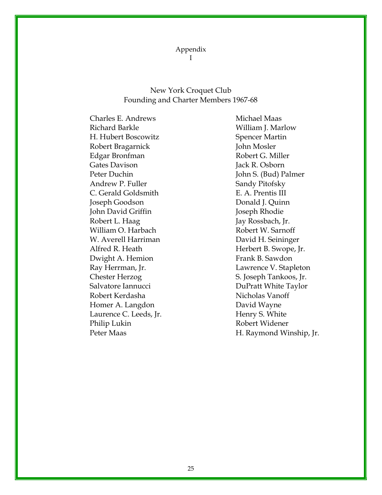Appendix I

#### New York Croquet Club Founding and Charter Members 1967-68

Charles E. Andrews Richard Barkle H. Hubert Boscowitz Robert Bragarnick Edgar Bronfman Gates Davison Peter Duchin Andrew P. Fuller C. Gerald Goldsmith Joseph Goodson John David Griffin Robert L. Haag William O. Harbach W. Averell Harriman Alfred R. Heath Dwight A. Hemion Ray Herrman, Jr. Chester Herzog Salvatore Iannucci Robert Kerdasha Homer A. Langdon Laurence C. Leeds, Jr. Philip Lukin Peter Maas

Michael Maas William J. Marlow Spencer Martin John Mosler Robert G. Miller Jack R. Osborn John S. (Bud) Palmer Sandy Pitofsky E. A. Prentis III Donald J. Quinn Joseph Rhodie Jay Rossbach, Jr. Robert W. Sarnoff David H. Seininger Herbert B. Swope, Jr. Frank B. Sawdon Lawrence V. Stapleton S. Joseph Tankoos, Jr. DuPratt White Taylor Nicholas Vanoff David Wayne Henry S. White Robert Widener H. Raymond Winship, Jr.